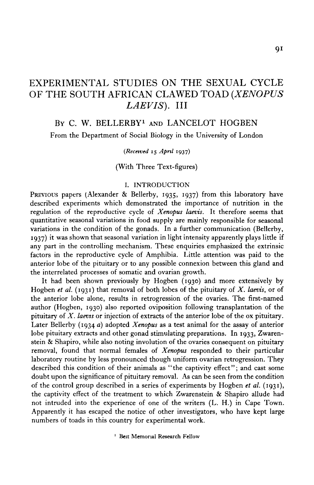# EXPERIMENTAL STUDIES ON THE SEXUAL CYCLE OF THE SOUTH AFRICAN CLAWED TOAD *(XENOPUS LAEVIS).* Ill

# BY C. W. BELLERBY<sup>1</sup> AND LANCELOT HOGBEN

From the Department of Social Biology in the University of London

## *{Received* 15 *April* 1937)

(With Three Text-figures)

### I. INTRODUCTION

PREVIOUS papers (Alexander & Bellerby, 1935, 1937) from this laboratory have described experiments which demonstrated the importance of nutrition in the regulation of the reproductive cycle of *Xenopus laevis.* It therefore seems that quantitative seasonal variations in food supply are mainly responsible for seasonal variations in the condition of the gonads. In a further communication (Bellerby, 1937) it was shown that seasonal variation in light intensity apparently plays little if any part in the controlling mechanism. These enquiries emphasized the extrinsic factors in the reproductive cycle of Amphibia. Little attention was paid to the anterior lobe of the pituitary or to any possible connexion between this gland and the interrelated processes of somatic and ovarian growth.

It had been shown previously by Hogben (1930) and more extensively by Hogben *et al.* **(1931)** that removal of both lobes of the pituitary of *X. laevis,* or of the anterior lobe alone, results in retrogression of the ovaries. The first-named author (Hogben, 1930) also reported oviposition following transplantation of the pituitary of *X. laevis* or injection of extracts of the anterior lobe of the ox pituitary. Later Bellerby (1934 *a)* adopted *Xenopus* as a test animal for the assay of anterior lobe pituitary extracts and other gonad stimulating preparations. In 1933, Zwarenstein & Shapiro, while also noting involution of the ovaries consequent on pituitary removal, found that normal females of *Xenopus* responded to their particular laboratory routine by less pronounced though uniform ovarian retrogression. They described this condition of their animals as "the captivity effect"; and cast some doubt upon the significance of pituitary removal. As can be seen from the condition of the control group described in a series of experiments by Hogben *et al.* **(1931),** the captivity effect of the treatment to which Zwarenstein & Shapiro allude had not intruded into the experience of one of the writers (L. H.) in Cape Town. Apparently it has escaped the notice of other investigators, who have kept large numbers of toads in this country for experimental work.

1 Beit Memorial Research Fellow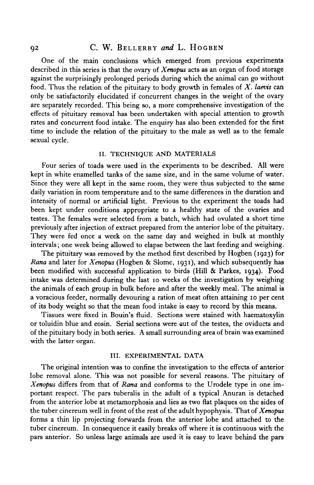## 92 C. W. BELLERBY *and* L. HOGBEN

One of the main conclusions which emerged from previous experiments described in this series is that the ovary of *Xenopus* acts as an organ of food storage against the surprisingly prolonged periods during which the animal can go without food. Thus the relation of the pituitary to body growth in females of *X. laevis* can only be satisfactorily elucidated if concurrent changes in the weight of the ovary are separately recorded. This being so, a more comprehensive investigation of the effects of pituitary removal has been undertaken with special attention to growth rates and concurrent food intake. The enquiry has also been extended for the first time to include the relation of the pituitary to the male as well as to the female sexual cycle.

## II. TECHNIQUE AND MATERIALS

Four series of toads were used in the experiments to be described. All were kept in white enamelled tanks of the same size, and in the same volume of water. Since they were all kept in the same room, they were thus subjected to the same daily variation in room temperature and to the same differences in the duration and intensity of normal or artificial light. Previous to the experiment the toads had been kept under conditions appropriate to a healthy state of the ovaries and testes. The females were selected from a batch, which had ovulated a short time previously after injection of extract prepared from the anterior lobe of the pituitary. They were fed once a week on the same day and weighed in bulk at monthly intervals; one week being allowed to elapse between the last feeding and weighing.

The pituitary was removed by the method first described by Hogben (1923) for *Rana* and later for *Xenopus* (Hogben & Slome, 1931), and which subsequently has been modified with successful application to birds (Hill & Parkes, 1934). Food intake was determined during the last 10 weeks of the investigation by weighing the animals of each group in bulk before and after the weekly meal. The animal is a voracious feeder, normally devouring a ration of meat often attaining 10 per cent of its body weight so that the mean food intake is easy to record by this means.

Tissues were fixed in Bouin's fluid. Sections were stained with haematoxylin or toluidin blue and eosin. Serial sections were cut of the testes, the oviducts and of the pituitary body in both series. A small surrounding area of brain was examined with the latter organ.

#### III. EXPERIMENTAL DATA

The original intention was to confine the investigation to the effects of anterior lobe removal alone. This was not possible for several reasons. The pituitary of *Xenopus* differs from that of *Rana* and conforms to the Urodele type in one important respect. The pars tuberalis in the adult of a typical Anuran is detached from the anterior lobe at metamorphosis and lies as two flat plaques on the sides of the tuber cinereum well in front of the rest of the adult hypophysis. That of *Xenopus* forms a thin lip projecting forwards from the anterior lobe and attached to the tuber cinereum. In consequence it easily breaks off where it is continuous with the pars anterior. So unless large animals are used it is easy to leave behind the pars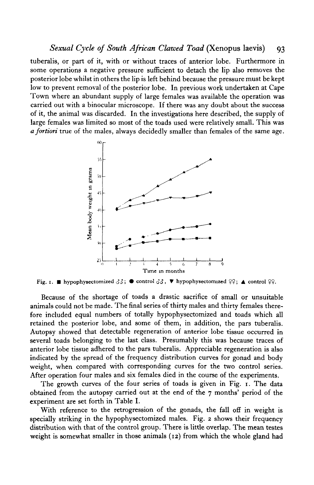## *Sexual Cycle of South African Clawed Toad* (Xenopus laevis) 93

tuberalis, or part of it, with or without traces of anterior lobe. Furthermore in some operations a negative pressure sufficient to detach the lip also removes the posterior lobe whilst in others the lip is left behind because the pressure must be kept low to prevent removal of the posterior lobe. In previous work undertaken at Cape Town where an abundant supply of large females was available the operation was carried out with a binocular microscope. If there was any doubt about the success of it, the animal was discarded. In the investigations here described, the supply of large females was limited so most of the toads used were relatively small. This was *a fortiori* true of the males, always decidedly smaller than females of the same age.



Fig. 1. **•** hypophysectomized  $33$ ;  $\bullet$  control  $33$ ,  $\bullet$  hypophysectomized  $99$ ;  $\bullet$  control  $99$ .

Because of the shortage of toads a drastic sacrifice of small or unsuitable animals could not be made. The final series of thirty males and thirty females therefore included equal numbers of totally hypophysectomized and toads which all retained the posterior lobe, and some of them, in addition, the pars tuberalis. Autopsy showed that detectable regeneration of anterior lobe tissue occurred in several toads belonging to the last class. Presumably this was because traces of anterior lobe tissue adhered to the pars tuberalis. Appreciable regeneration is also indicated by the spread of the frequency distribution curves for gonad and body weight, when compared with corresponding curves for the two control series. After operation four males and six females died in the course of the experiments.

The growth curves of the four series of toads is given in Fig. i. The data obtained from the autopsy carried out at the end of the 7 months' period of the experiment are set forth in Table I.

With reference to the retrogression of the gonads, the fall off in weight is specially striking in the hypophysectomized males. Fig. 2 shows their frequency distribution with that of the control group. There is little overlap. The mean testes weight is somewhat smaller in those animals (12) from which the whole gland had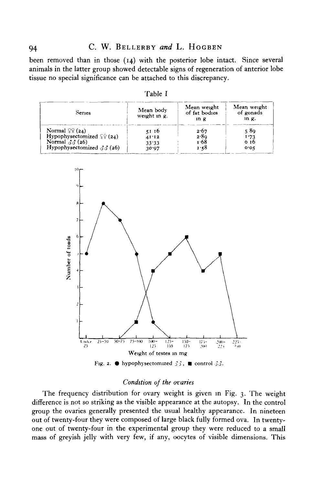been removed than in those (14) with the posterior lobe intact. Since several animals in the latter group showed detectable signs of regeneration of anterior lobe tissue no special significance can be attached to this discrepancy.

| Series                                   | Mean body<br>weight in $g$ . | Mean weight<br>of fat bodies<br>$1D$ $R$ | Mean weight<br>of gonads<br>$\ln q$ . |
|------------------------------------------|------------------------------|------------------------------------------|---------------------------------------|
| Normal $\mathcal{Q}(\mathbf{z}_4)$       | 51 16                        | 2.67                                     | 589                                   |
| Hypophysectomized $\frac{6}{5}$ (24)     | 41'12                        | 2.89                                     | 1.73                                  |
| Normal $\partial \partial$ (26)          | 33.33                        | 1.68                                     | 0 16                                  |
| Hypophysectomized $\partial \delta$ (26) | 30.97                        | 1.58                                     | 0.05                                  |



# *Condition of the ovaries*

The frequency distribution for ovary weight is given in Fig. 3. The weight difference is not so striking as the visible appearance at the autopsy. In the control group the ovaries generally presented the usual healthy appearance. In nineteen out of twenty-four they were composed of large black fully formed ova. In twentyone out of twenty-four in the experimental group they were reduced to a small mass of greyish jelly with very few, if any, oocytes of visible dimensions. This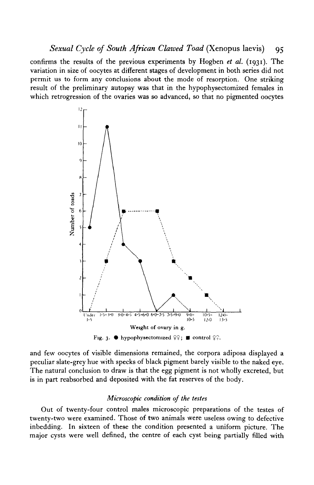*Sexual Cycle of South African Clawed Toad (Xenopus laevis)* 95

confirms the results of the previous experiments by Hogben *et al.* (1931). The variation in size of oocytes at different stages of development in both series did not permit us to form any conclusions about the mode of resorption. One striking result of the preliminary autopsy was that in the hypophysectomized females in which retrogression of the ovaries was so advanced, so that no pigmented oocytes



and few oocytes of visible dimensions remained, the corpora adiposa displayed a peculiar slate-grey hue with specks of black pigment barely visible to the naked eye. The natural conclusion to draw is that the egg pigment is not wholly excreted, but is in part reabsorbed and deposited with the fat reserves of the body.

### *Microscopic condition of the testes*

Out of twenty-four control males microscopic preparations of the testes of twenty-two were examined. Those of two animals were useless owing to defective inbedding. In sixteen of these the condition presented a uniform picture. The major cysts were well defined, the centre of each cyst being partially filled with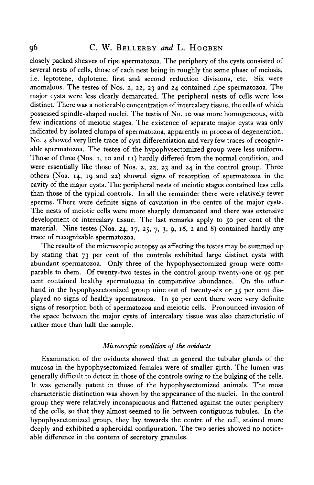## 96 C. W. BELLERBY *and* L. HOGBEN

closely packed sheaves of ripe spermatozoa. The periphery of the cysts consisted of several nests of cells, those of each nest being in roughly the same phase of meiosis, i.e. leptotene, diplotene, first and second reduction divisions, etc. Six were anomalous. The testes of Nos. 2, 22, 23 and 24 contained ripe spermatozoa. The major cysts were less clearly demarcated. The peripheral nests of cells were less distinct. There was a noticeable concentration of intercalary tissue, the cells of which possessed spindle-shaped nuclei. The testis of No. 10 was more homogeneous, with few indications of meiotic stages. The existence of separate major cysts was only indicated by isolated clumps of spermatozoa, apparently in process of degeneration. No. 4 showed very little trace of cyst differentiation and very few traces of recognizable spermatozoa. The testes of the hypophysectomized group were less uniform. Those of three (Nos. 1, 10 and 11) hardly differed from the normal condition, and were essentially like those of Nos. 2, 22, 23 and 24 in the control group. Three others (Nos. 14, 19 and 22) showed signs of resorption of spermatozoa in the cavity of the major cysts. The peripheral nests of meiotic stages contained less cells than those of the typical controls. In all the remainder there were relatively fewer sperms. There were definite signs of cavitation in the centre of the major cysts. The nests of meiotic cells were more sharply demarcated and there was extensive development of intercalary tissue. The last remarks apply to 50 per cent of the material. Nine testes (Nos. 24, 17, 25,  $7$ , 3, 9, 18, 2 and 8) contained hardly any trace of recognizable spermatozoa.

The results of the microscopic autopsy as affecting the testes may be summed up by stating that 73 per cent of the controls exhibited large distinct cysts with abundant spermatozoa. Only three of the hypophysectomized group were comparable to them. Of twenty-two testes in the control group twenty-one or 95 per cent contained healthy spermatozoa in comparative abundance. On the other hand in the hypophysectomized group nine out of twenty-six or 35 per cent displayed no signs of healthy spermatozoa. In 50 per cent there were very definite signs of resorption both of spermatozoa and meiotic cells. Pronounced invasion of the space between the major cysts of intercalary tissue was also characteristic of rather more than half the sample.

## *Microscopic condition of the oviducts*

Examination of the oviducts showed that in general the tubular glands of the mucosa in the hypophysectomized females were of smaller girth. The lumen was generally difficult to detect in those of the controls owing to the bulging of the cells. It was generally patent in those of the hypophysectomized animals. The most characteristic distinction was shown by the appearance of the nuclei. In the control group they were relatively inconspicuous and flattened against the outer periphery of the cells, so that they almost seemed to lie between contiguous tubules. In the hypophysectomized group, they lay towards the centre of the cell, stained more deeply and exhibited a spheroidal configuration. The two series showed no noticeable difference in the content of secretory granules.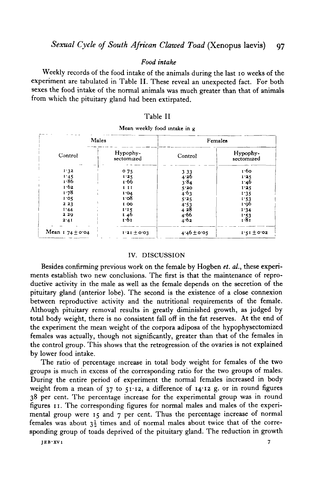## *Food intake*

Weekly records of the food intake of the animals during the last 10 weeks of the experiment are tabulated in Table II. These reveal an unexpected fact. For both sexes the food intake of the normal animals was much greater than that of animals from which the pituitary gland had been extirpated.

### Table II

| Males               |                        | Females         |                        |  |
|---------------------|------------------------|-----------------|------------------------|--|
| Control             | Hypophy-<br>sectomized | Control         | Hypophy-<br>sectomized |  |
| 1.32                | 0.75                   | 3 3 3           | 1.60                   |  |
|                     | 1.25                   | 4.26            | 1.25                   |  |
| $1.45$<br>$1.86$    | 1.66                   | 3.84            | 1.46                   |  |
| 1.62                | 1 I I                  | 5'20            | 1.25                   |  |
| 1.78                | 1.04                   | 4.63            | 1.35                   |  |
| 1.05                | 1.08                   | 5.25            | 1.53                   |  |
| 223                 | 100                    | 4:53            | 1.96                   |  |
| 1.44                | 1'15                   | 428             | 1.34                   |  |
| 229                 | 146                    | 4.66            | 1.53                   |  |
| 2.41                | 1.61                   | 4.62            | 1.81                   |  |
| Mean $174 \pm 0.04$ | $1.21 \pm 0.03$        | $4.46 \pm 0.05$ | $1.51 \pm 0.02$        |  |

### Mean weekly food intake in g

### IV. DISCUSSION

Besides confirming previous work on the female by Hogben *et. al.,* these experiments establish two new conclusions. The first is that the maintenance of reproductive activity in the male as well as the female depends on the secretion of the pituitary gland (anterior lobe). The second is the existence of a close connexion between reproductive activity and the nutritional requirements of the female. Although pituitary removal results in greatly diminished growth, as judged by total body weight, there is no consistent fall off in the fat reserves. At the end of the experiment the mean weight of the corpora adiposa of the hypophysectomized females was actually, though not significantly, greater than that of the females in the control group. This shows that the retrogression of the ovaries is not explained by lower food intake.

The ratio of percentage increase in total body weight for females of the two groups is much in excess of the corresponding ratio for the two groups of males. During the entire period of experiment the normal females increased in body weight from a mean of  $37$  to  $51.12$ , a difference of  $14.12$  g. or in round figures 38 per cent. The percentage increase for the experimental group was in round figures 11. The corresponding figures for normal males and males of the experimental group were 15 and 7 per cent. Thus the percentage increase of normal females was about *\$1* times and of normal males about twice that of the corresponding group of toads deprived of the pituitary gland. The reduction in growth

**JEB'XVl 7**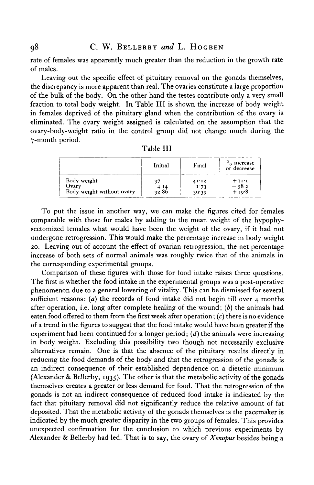rate of females was apparently much greater than the reduction in the growth rate of males.

Leaving out the specific effect of pituitary removal on the gonads themselves, the discrepancy is more apparent than real. The ovaries constitute a large proportion of the bulk of the body. On the other hand the testes contribute only a very small fraction to total body weight. In Table III is shown the increase of body weight in females deprived of the pituitary gland when the contribution of the ovary is eliminated. The ovary weight assigned is calculated on the assumption that the ovary-body-weight ratio in the control group did not change much during the 7-month period. Table III

|                                    | Initial | Final         | o increase<br>or decrease |
|------------------------------------|---------|---------------|---------------------------|
| Body weight                        | マフ      | 41'12         | $+11$                     |
| Ovary<br>Body weight without ovary | 32 86   | 1.73<br>39.39 | $-582$<br>+ 10∙8          |

| To put the issue in another way, we can make the figures cited for females         |
|------------------------------------------------------------------------------------|
| comparable with those for males by adding to the mean weight of the hypophy-       |
| sectomized females what would have been the weight of the ovary, if it had not     |
| undergone retrogression. This would make the percentage increase in body weight    |
| 20. Leaving out of account the effect of ovarian retrogression, the net percentage |
| increase of both sets of normal animals was roughly twice that of the animals in   |

the corresponding experimental groups.

Comparison of these figures with those for food intake raises three questions. The first is whether the food intake in the experimental groups was a post-operative phenomenon due to a general lowering of vitality. This can be dismissed for several sufficient reasons: *(a)* the records of food intake did not begin till over 4 months after operation, i.e. long after complete healing of the wound; *(b)* the animals had eaten food offered to them from the first week after operation;  $(c)$  there is no evidence of a trend in the figures to suggest that the food intake would have been greater if the experiment had been continued for a longer period; *(d*) the animals were increasing in body weight. Excluding this possibility two though not necessarily exclusive alternatives remain. One is that the absence of the pituitary results directly in reducing the food demands of the body and that the retrogression of the gonads is an indirect consequence of their established dependence on a dietetic minimum (Alexander & Bellerby, 1935). The other is that the metabolic activity of the gonads themselves creates a greater or less demand for food. That the retrogression of the gonads is not an indirect consequence of reduced food intake is indicated by the fact that pituitary removal did not significantly reduce the relative amount of fat deposited. That the metabolic activity of the gonads themselves is the pacemaker is indicated by the much greater disparity in the two groups of females. This provides unexpected confirmation for the conclusion to which previous experiments by Alexander & Bellerby had led. That is to say, the ovary of *Xenopus* besides being a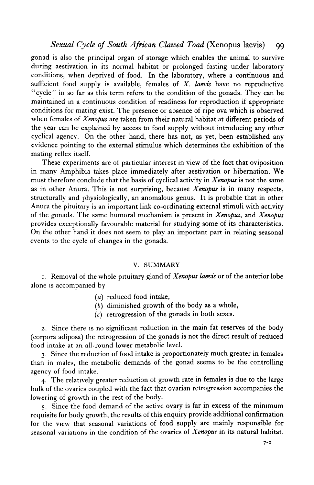# *Sexual Cycle of South African Clawed Toad (Xenopus laevis)* 99

gonad is also the principal organ of storage which enables the animal to survive during aestivation in its normal habitat or prolonged fasting under laboratory conditions, when deprived of food. In the laboratory, where a continuous and sufficient food supply is available, females of *X. laevis* have no reproductive "cycle" in so far as this term refers to the condition of the gonads. They can be maintained in a continuous condition of readiness for reproduction if appropriate conditions for mating exist. The presence or absence of ripe ova which is observed when females of *Xenopus* are taken from their natural habitat at different periods of the year can be explained by access to food supply without introducing any other cyclical agency. On the other hand, there has not, as yet, been established any evidence pointing to the external stimulus which determines the exhibition of the mating reflex itself.

These experiments are of particular interest in view of the fact that oviposition in many Amphibia takes place immediately after aestivation or hibernation. We must therefore conclude that the basis of cyclical activity in *Xenopus* is not the same as in other Anura. This is not surprising, because *Xenopus* is in many respects, structurally and physiologically, an anomalous genus. It is probable that in other Anura the pituitary is an important link co-ordinating external stimuli with activity of the gonads. The same humoral mechanism is present in *Xenopus,* and *Xenopus* provides exceptionally favourable material for studying some of its characteristics. On the other hand it does not seem to play an important part in relating seasonal events to the cycle of changes in the gonads.

## V. SUMMARY

1. Removal of the whole pituitary gland of *Xenopus laevis* or of the anterior lobe alone is accompanied by

- *(a)* reduced food intake,
- *(b)* diminished growth of the body as a whole,
- $(c)$  retrogression of the gonads in both sexes.

2. Since there is no significant reduction in the main fat reserves of the body (corpora adiposa) the retrogression of the gonads is not the direct result of reduced food intake at an all-round lower metabolic level.

3. Since the reduction of food intake is proportionately much greater in females than in males, the metabolic demands of the gonad seems to be the controlling agency of food intake.

4. The relatively greater reduction of growth rate in females is due to the large bulk of the ovaries coupled with the fact that ovarian retrogression accompanies the lowering of growth in the rest of the body.

5. Since the food demand of the active ovary is far in excess of the minimum requisite for body growth, the results of this enquiry provide additional confirmation for the view that seasonal variations of food supply are mainly responsible for seasonal variations in the condition of the ovaries of *Xenopus* in its natural habitat.